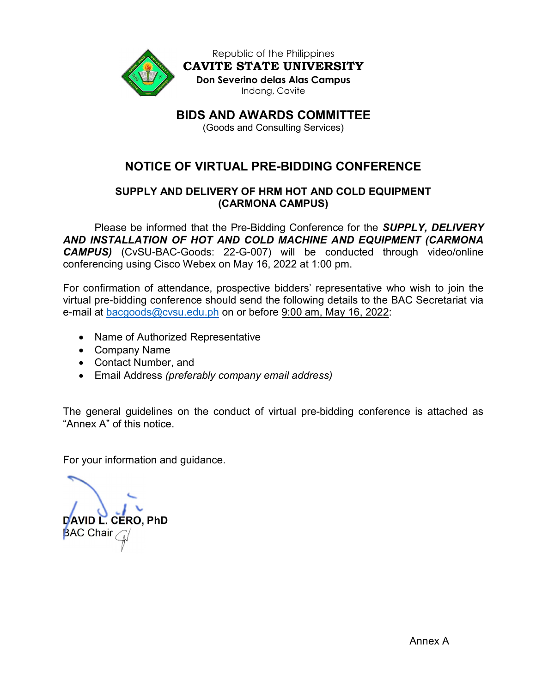

Republic of the Philippines CAVITE STATE UNIVERSITY Don Severino delas Alas Campus Indang, Cavite

BIDS AND AWARDS COMMITTEE

(Goods and Consulting Services)

# NOTICE OF VIRTUAL PRE-BIDDING CONFERENCE

## SUPPLY AND DELIVERY OF HRM HOT AND COLD EQUIPMENT (CARMONA CAMPUS)

Please be informed that the Pre-Bidding Conference for the **SUPPLY, DELIVERY** AND INSTALLATION OF HOT AND COLD MACHINE AND EQUIPMENT (CARMONA CAMPUS) (CvSU-BAC-Goods: 22-G-007) will be conducted through video/online conferencing using Cisco Webex on May 16, 2022 at 1:00 pm.

For confirmation of attendance, prospective bidders' representative who wish to join the virtual pre-bidding conference should send the following details to the BAC Secretariat via e-mail at bacgoods@cvsu.edu.ph on or before 9:00 am, May 16, 2022:

- Name of Authorized Representative
- Company Name
- Contact Number, and
- Email Address (preferably company email address)

The general guidelines on the conduct of virtual pre-bidding conference is attached as "Annex A" of this notice.

For your information and guidance.

DAVID L. CERO, PhD **BAC Chair**